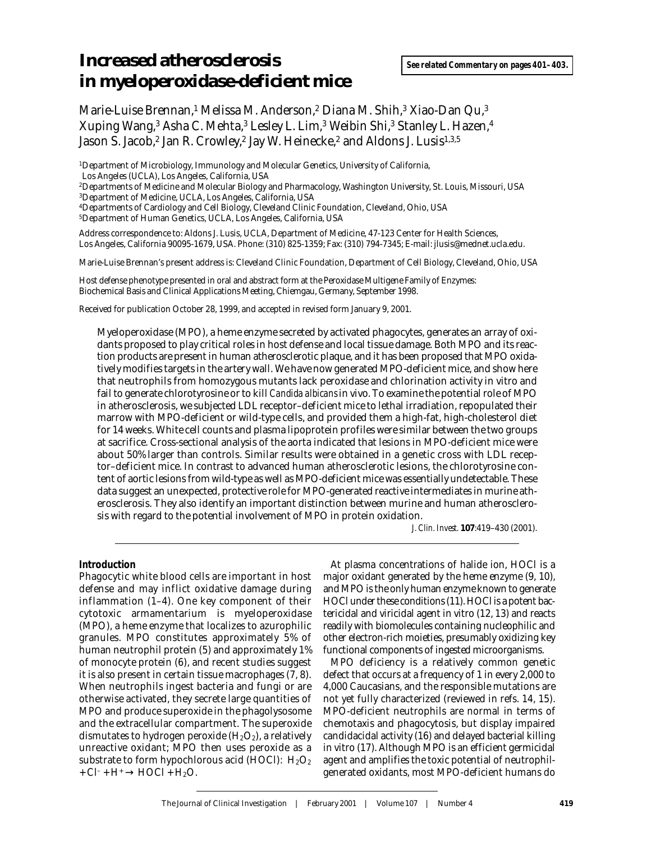# **Increased atherosclerosis in myeloperoxidase-deficient mice**

Marie-Luise Brennan,<sup>1</sup> Melissa M. Anderson,<sup>2</sup> Diana M. Shih,<sup>3</sup> Xiao-Dan Qu,<sup>3</sup> Xuping Wang,3 Asha C. Mehta,3 Lesley L. Lim,3 Weibin Shi,3 Stanley L. Hazen,4 Jason S. Jacob,<sup>2</sup> Jan R. Crowley,<sup>2</sup> Jay W. Heinecke,<sup>2</sup> and Aldons J. Lusis<sup>1,3,5</sup>

1Department of Microbiology, Immunology and Molecular Genetics, University of California, Los Angeles (UCLA), Los Angeles, California, USA

2Departments of Medicine and Molecular Biology and Pharmacology, Washington University, St. Louis, Missouri, USA 3Department of Medicine, UCLA, Los Angeles, California, USA

4Departments of Cardiology and Cell Biology, Cleveland Clinic Foundation, Cleveland, Ohio, USA

5Department of Human Genetics, UCLA, Los Angeles, California, USA

Address correspondence to: Aldons J. Lusis, UCLA, Department of Medicine, 47-123 Center for Health Sciences, Los Angeles, California 90095-1679, USA. Phone: (310) 825-1359; Fax: (310) 794-7345; E-mail: jlusis@mednet.ucla.edu.

Marie-Luise Brennan's present address is: Cleveland Clinic Foundation, Department of Cell Biology, Cleveland, Ohio, USA

Host defense phenotype presented in oral and abstract form at the Peroxidase Multigene Family of Enzymes: Biochemical Basis and Clinical Applications Meeting, Chiemgau, Germany, September 1998.

Received for publication October 28, 1999, and accepted in revised form January 9, 2001.

Myeloperoxidase (MPO), a heme enzyme secreted by activated phagocytes, generates an array of oxidants proposed to play critical roles in host defense and local tissue damage. Both MPO and its reaction products are present in human atherosclerotic plaque, and it has been proposed that MPO oxidatively modifies targets in the artery wall. We have now generated MPO-deficient mice, and show here that neutrophils from homozygous mutants lack peroxidase and chlorination activity in vitro and fail to generate chlorotyrosine or to kill *Candida albicans* in vivo. To examine the potential role of MPO in atherosclerosis, we subjected LDL receptor–deficient mice to lethal irradiation, repopulated their marrow with MPO-deficient or wild-type cells, and provided them a high-fat, high-cholesterol diet for 14 weeks. White cell counts and plasma lipoprotein profiles were similar between the two groups at sacrifice. Cross-sectional analysis of the aorta indicated that lesions in MPO-deficient mice were about 50% larger than controls. Similar results were obtained in a genetic cross with LDL receptor–deficient mice. In contrast to advanced human atherosclerotic lesions, the chlorotyrosine content of aortic lesions from wild-type as well as MPO-deficient mice was essentially undetectable. These data suggest an unexpected, protective role for MPO-generated reactive intermediates in murine atherosclerosis. They also identify an important distinction between murine and human atherosclerosis with regard to the potential involvement of MPO in protein oxidation.

*J. Clin. Invest.* **107**:419–430 (2001).

## **Introduction**

Phagocytic white blood cells are important in host defense and may inflict oxidative damage during inflammation (1–4). One key component of their cytotoxic armamentarium is myeloperoxidase (MPO), a heme enzyme that localizes to azurophilic granules. MPO constitutes approximately 5% of human neutrophil protein (5) and approximately 1% of monocyte protein (6), and recent studies suggest it is also present in certain tissue macrophages (7, 8). When neutrophils ingest bacteria and fungi or are otherwise activated, they secrete large quantities of MPO and produce superoxide in the phagolysosome and the extracellular compartment. The superoxide dismutates to hydrogen peroxide  $(H_2O_2)$ , a relatively unreactive oxidant; MPO then uses peroxide as a substrate to form hypochlorous acid (HOCl):  $H_2O_2$ +  $Cl^-$  +  $H^+$   $\rightarrow$   $HOCl$  +  $H_2O$ .

At plasma concentrations of halide ion, HOCl is a major oxidant generated by the heme enzyme (9, 10), and MPO is the only human enzyme known to generate HOCl under these conditions (11). HOCl is a potent bactericidal and viricidal agent in vitro (12, 13) and reacts readily with biomolecules containing nucleophilic and other electron-rich moieties, presumably oxidizing key functional components of ingested microorganisms.

MPO deficiency is a relatively common genetic defect that occurs at a frequency of 1 in every 2,000 to 4,000 Caucasians, and the responsible mutations are not yet fully characterized (reviewed in refs. 14, 15). MPO-deficient neutrophils are normal in terms of chemotaxis and phagocytosis, but display impaired candidacidal activity (16) and delayed bacterial killing in vitro (17). Although MPO is an efficient germicidal agent and amplifies the toxic potential of neutrophilgenerated oxidants, most MPO-deficient humans do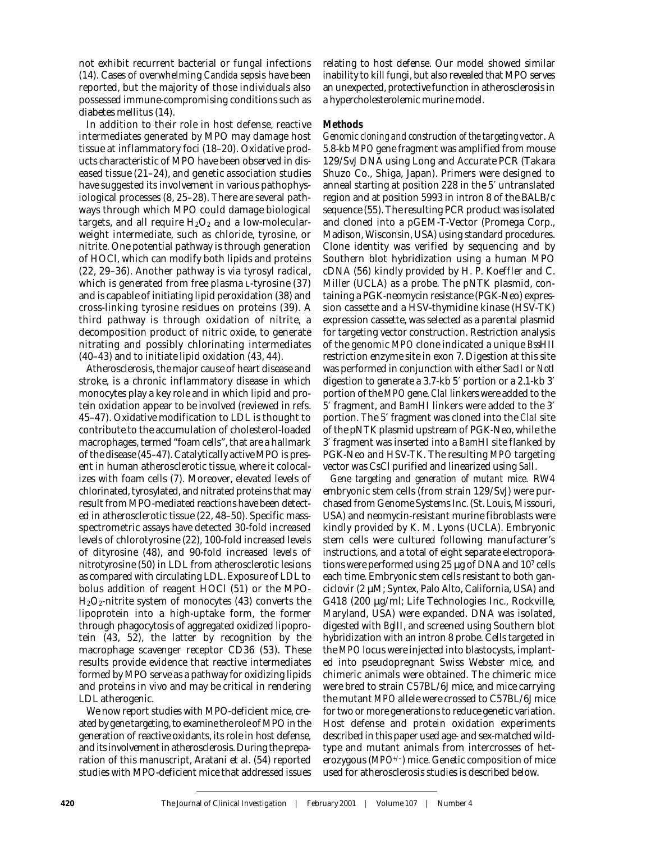not exhibit recurrent bacterial or fungal infections (14). Cases of overwhelming *Candida* sepsis have been reported, but the majority of those individuals also possessed immune-compromising conditions such as diabetes mellitus (14).

In addition to their role in host defense, reactive intermediates generated by MPO may damage host tissue at inflammatory foci (18–20). Oxidative products characteristic of MPO have been observed in diseased tissue (21–24), and genetic association studies have suggested its involvement in various pathophysiological processes (8, 25–28). There are several pathways through which MPO could damage biological targets, and all require  $H_2O_2$  and a low-molecularweight intermediate, such as chloride, tyrosine, or nitrite. One potential pathway is through generation of HOCl, which can modify both lipids and proteins (22, 29–36). Another pathway is via tyrosyl radical, which is generated from free plasma L-tyrosine (37) and is capable of initiating lipid peroxidation (38) and cross-linking tyrosine residues on proteins (39). A third pathway is through oxidation of nitrite, a decomposition product of nitric oxide, to generate nitrating and possibly chlorinating intermediates (40–43) and to initiate lipid oxidation (43, 44).

Atherosclerosis, the major cause of heart disease and stroke, is a chronic inflammatory disease in which monocytes play a key role and in which lipid and protein oxidation appear to be involved (reviewed in refs. 45–47). Oxidative modification to LDL is thought to contribute to the accumulation of cholesterol-loaded macrophages, termed "foam cells", that are a hallmark of the disease (45–47). Catalytically active MPO is present in human atherosclerotic tissue, where it colocalizes with foam cells (7). Moreover, elevated levels of chlorinated, tyrosylated, and nitrated proteins that may result from MPO-mediated reactions have been detected in atherosclerotic tissue (22, 48–50). Specific massspectrometric assays have detected 30-fold increased levels of chlorotyrosine (22), 100-fold increased levels of dityrosine (48), and 90-fold increased levels of nitrotyrosine (50) in LDL from atherosclerotic lesions as compared with circulating LDL. Exposure of LDL to bolus addition of reagent HOCl (51) or the MPO- $H<sub>2</sub>O<sub>2</sub>$ -nitrite system of monocytes (43) converts the lipoprotein into a high-uptake form, the former through phagocytosis of aggregated oxidized lipoprotein (43, 52), the latter by recognition by the macrophage scavenger receptor CD36 (53). These results provide evidence that reactive intermediates formed by MPO serve as a pathway for oxidizing lipids and proteins in vivo and may be critical in rendering LDL atherogenic.

We now report studies with MPO-deficient mice, created by gene targeting, to examine the role of MPO in the generation of reactive oxidants, its role in host defense, and its involvement in atherosclerosis. During the preparation of this manuscript, Aratani et al. (54) reported studies with MPO-deficient mice that addressed issues relating to host defense. Our model showed similar inability to kill fungi, but also revealed that MPO serves an unexpected, protective function in atherosclerosis in a hypercholesterolemic murine model.

## **Methods**

*Genomic cloning and construction of the targeting vector*. A 5.8-kb *MPO* gene fragment was amplified from mouse 129/SvJ DNA using Long and Accurate PCR (Takara Shuzo Co., Shiga, Japan). Primers were designed to anneal starting at position 228 in the 5′ untranslated region and at position 5993 in intron 8 of the BALB/c sequence (55). The resulting PCR product was isolated and cloned into a pGEM-T-Vector (Promega Corp., Madison, Wisconsin, USA) using standard procedures. Clone identity was verified by sequencing and by Southern blot hybridization using a human MPO cDNA (56) kindly provided by H. P. Koeffler and C. Miller (UCLA) as a probe. The pNTK plasmid, containing a PGK-neomycin resistance (PGK-Neo) expression cassette and a HSV-thymidine kinase (HSV-TK) expression cassette, was selected as a parental plasmid for targeting vector construction. Restriction analysis of the genomic *MPO* clone indicated a unique *Bss*HII restriction enzyme site in exon 7. Digestion at this site was performed in conjunction with either *Sac*II or *Not*I digestion to generate a 3.7-kb 5′ portion or a 2.1-kb 3′ portion of the *MPO* gene. *Cla*I linkers were added to the 5′ fragment, and *Bam*HI linkers were added to the 3′ portion. The 5′ fragment was cloned into the *Cla*I site of the pNTK plasmid upstream of PGK-Neo, while the 3′ fragment was inserted into a *Bam*HI site flanked by PGK-Neo and HSV-TK. The resulting *MPO* targeting vector was CsCl purified and linearized using *Sal*I.

*Gene targeting and generation of mutant mice*. RW4 embryonic stem cells (from strain 129/SvJ) were purchased from Genome Systems Inc. (St. Louis, Missouri, USA) and neomycin-resistant murine fibroblasts were kindly provided by K. M. Lyons (UCLA). Embryonic stem cells were cultured following manufacturer's instructions, and a total of eight separate electroporations were performed using 25 µg of DNA and 107 cells each time. Embryonic stem cells resistant to both ganciclovir (2 µM; Syntex, Palo Alto, California, USA) and G418 (200 µg/ml; Life Technologies Inc., Rockville, Maryland, USA) were expanded. DNA was isolated, digested with *Bgl*II, and screened using Southern blot hybridization with an intron 8 probe. Cells targeted in the *MPO* locus were injected into blastocysts, implanted into pseudopregnant Swiss Webster mice, and chimeric animals were obtained. The chimeric mice were bred to strain C57BL/6J mice, and mice carrying the mutant *MPO* allele were crossed to C57BL/6J mice for two or more generations to reduce genetic variation. Host defense and protein oxidation experiments described in this paper used age- and sex-matched wildtype and mutant animals from intercrosses of heterozygous (*MPO+/–*) mice. Genetic composition of mice used for atherosclerosis studies is described below.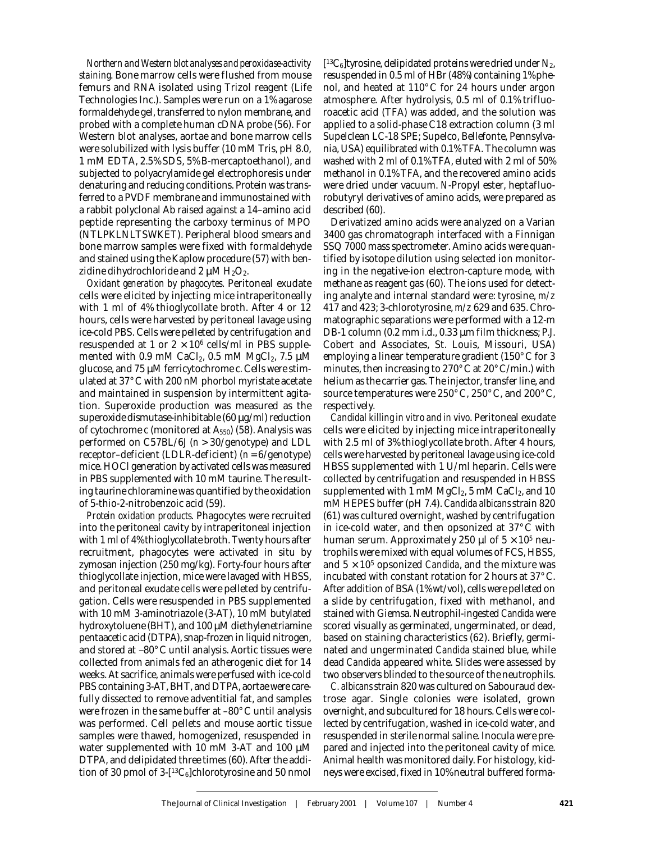*Northern and Western blot analyses and peroxidase-activity staining*. Bone marrow cells were flushed from mouse femurs and RNA isolated using Trizol reagent (Life Technologies Inc.). Samples were run on a 1% agarose formaldehyde gel, transferred to nylon membrane, and probed with a complete human cDNA probe (56). For Western blot analyses, aortae and bone marrow cells were solubilized with lysis buffer (10 mM Tris, pH 8.0, 1 mM EDTA, 2.5% SDS, 5% B-mercaptoethanol), and subjected to polyacrylamide gel electrophoresis under denaturing and reducing conditions. Protein was transferred to a PVDF membrane and immunostained with a rabbit polyclonal Ab raised against a 14–amino acid peptide representing the carboxy terminus of MPO (NTLPKLNLTSWKET). Peripheral blood smears and bone marrow samples were fixed with formaldehyde and stained using the Kaplow procedure (57) with benzidine dihydrochloride and 2  $\mu$ M H<sub>2</sub>O<sub>2</sub>.

*Oxidant generation by phagocytes*. Peritoneal exudate cells were elicited by injecting mice intraperitoneally with 1 ml of 4% thioglycollate broth. After 4 or 12 hours, cells were harvested by peritoneal lavage using ice-cold PBS. Cells were pelleted by centrifugation and resuspended at 1 or  $2 \times 10^6$  cells/ml in PBS supplemented with 0.9 mM CaCl<sub>2</sub>, 0.5 mM MgCl<sub>2</sub>, 7.5  $\mu$ M glucose, and 75 µM ferricytochrome c. Cells were stimulated at 37°C with 200 nM phorbol myristate acetate and maintained in suspension by intermittent agitation. Superoxide production was measured as the superoxide dismutase-inhibitable  $(60 \,\mu\text{g/ml})$  reduction of cytochrome c (monitored at A550) (58). Analysis was performed on C57BL/6J (*n* > 30/genotype) and LDL receptor–deficient (LDLR-deficient) (*n* = 6/genotype) mice. HOCl generation by activated cells was measured in PBS supplemented with 10 mM taurine. The resulting taurine chloramine was quantified by the oxidation of 5-thio-2-nitrobenzoic acid (59).

*Protein oxidation products*. Phagocytes were recruited into the peritoneal cavity by intraperitoneal injection with 1 ml of 4% thioglycollate broth. Twenty hours after recruitment, phagocytes were activated in situ by zymosan injection (250 mg/kg). Forty-four hours after thioglycollate injection, mice were lavaged with HBSS, and peritoneal exudate cells were pelleted by centrifugation. Cells were resuspended in PBS supplemented with 10 mM 3-aminotriazole (3-AT), 10 mM butylated hydroxytoluene (BHT), and 100 µM diethylenetriamine pentaacetic acid (DTPA), snap-frozen in liquid nitrogen, and stored at –80°C until analysis. Aortic tissues were collected from animals fed an atherogenic diet for 14 weeks. At sacrifice, animals were perfused with ice-cold PBS containing 3-AT, BHT, and DTPA, aortae were carefully dissected to remove adventitial fat, and samples were frozen in the same buffer at –80°C until analysis was performed. Cell pellets and mouse aortic tissue samples were thawed, homogenized, resuspended in water supplemented with 10 mM 3-AT and 100 µM DTPA, and delipidated three times (60). After the addition of 30 pmol of  $3-[13C_6]$ chlorotyrosine and 50 nmol  $[13C_6]$ tyrosine, delipidated proteins were dried under N<sub>2</sub>, resuspended in 0.5 ml of HBr (48%) containing 1% phenol, and heated at 110°C for 24 hours under argon atmosphere. After hydrolysis, 0.5 ml of 0.1% trifluoroacetic acid (TFA) was added, and the solution was applied to a solid-phase C18 extraction column (3 ml Supelclean LC-18 SPE; Supelco, Bellefonte, Pennsylvania, USA) equilibrated with 0.1% TFA. The column was washed with 2 ml of 0.1% TFA, eluted with 2 ml of 50% methanol in 0.1% TFA, and the recovered amino acids were dried under vacuum. *N*-Propyl ester, heptafluorobutyryl derivatives of amino acids, were prepared as described (60).

Derivatized amino acids were analyzed on a Varian 3400 gas chromatograph interfaced with a Finnigan SSQ 7000 mass spectrometer. Amino acids were quantified by isotope dilution using selected ion monitoring in the negative-ion electron-capture mode, with methane as reagent gas (60). The ions used for detecting analyte and internal standard were: tyrosine, *m/z* 417 and 423; 3-chlorotyrosine, *m/z* 629 and 635. Chromatographic separations were performed with a 12-m DB-1 column (0.2 mm i.d., 0.33 µm film thickness; P.J. Cobert and Associates, St. Louis, Missouri, USA) employing a linear temperature gradient (150°C for 3 minutes, then increasing to 270°C at 20°C/min.) with helium as the carrier gas. The injector, transfer line, and source temperatures were 250°C, 250°C, and 200°C, respectively.

*Candidal killing in vitro and in vivo*. Peritoneal exudate cells were elicited by injecting mice intraperitoneally with 2.5 ml of 3% thioglycollate broth. After 4 hours, cells were harvested by peritoneal lavage using ice-cold HBSS supplemented with 1 U/ml heparin. Cells were collected by centrifugation and resuspended in HBSS supplemented with 1 mM  $MgCl_2$ , 5 mM CaCl<sub>2</sub>, and 10 mM HEPES buffer (pH 7.4). *Candida albicans*strain 820 (61) was cultured overnight, washed by centrifugation in ice-cold water, and then opsonized at 37°C with human serum. Approximately 250 µl of  $5 \times 10^5$  neutrophils were mixed with equal volumes of FCS, HBSS, and  $5 \times 10^5$  opsonized *Candida*, and the mixture was incubated with constant rotation for 2 hours at 37°C. After addition of BSA (1% wt/vol), cells were pelleted on a slide by centrifugation, fixed with methanol, and stained with Giemsa. Neutrophil-ingested *Candida* were scored visually as germinated, ungerminated, or dead, based on staining characteristics (62). Briefly, germinated and ungerminated *Candida* stained blue, while dead *Candida* appeared white. Slides were assessed by two observers blinded to the source of the neutrophils.

*C. albicans*strain 820 was cultured on Sabouraud dextrose agar. Single colonies were isolated, grown overnight, and subcultured for 18 hours. Cells were collected by centrifugation, washed in ice-cold water, and resuspended in sterile normal saline. Inocula were prepared and injected into the peritoneal cavity of mice. Animal health was monitored daily. For histology, kidneys were excised, fixed in 10% neutral buffered forma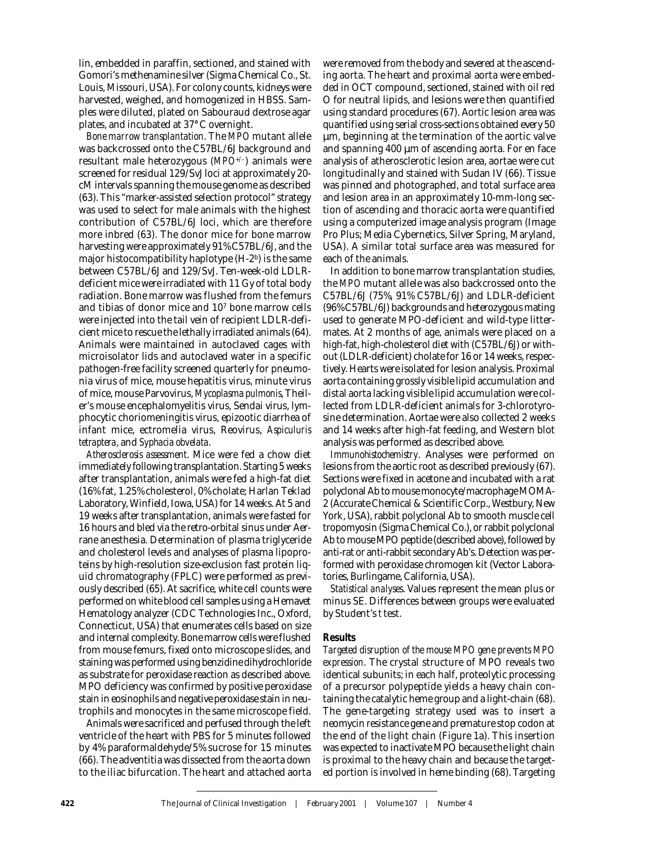lin, embedded in paraffin, sectioned, and stained with Gomori's methenamine silver (Sigma Chemical Co., St. Louis, Missouri, USA). For colony counts, kidneys were harvested, weighed, and homogenized in HBSS. Samples were diluted, plated on Sabouraud dextrose agar plates, and incubated at 37**°**C overnight.

*Bone marrow transplantation*. The *MPO* mutant allele was backcrossed onto the C57BL/6J background and resultant male heterozygous (*MPO+/–*) animals were screened for residual 129/SvJ loci at approximately 20 cM intervals spanning the mouse genome as described (63). This "marker-assisted selection protocol" strategy was used to select for male animals with the highest contribution of C57BL/6J loci, which are therefore more inbred (63). The donor mice for bone marrow harvesting were approximately 91% C57BL/6J, and the major histocompatibility haplotype (H-2b) is the same between C57BL/6J and 129/SvJ. Ten-week-old LDLRdeficient mice were irradiated with 11 Gy of total body radiation. Bone marrow was flushed from the femurs and tibias of donor mice and 107 bone marrow cells were injected into the tail vein of recipient LDLR-deficient mice to rescue the lethally irradiated animals (64). Animals were maintained in autoclaved cages with microisolator lids and autoclaved water in a specific pathogen-free facility screened quarterly for pneumonia virus of mice, mouse hepatitis virus, minute virus of mice, mouse Parvovirus, *Mycoplasma pulmonis*, Theiler's mouse encephalomyelitis virus, Sendai virus, lymphocytic choriomeningitis virus, epizootic diarrhea of infant mice, ectromelia virus, Reovirus, *Aspiculuris tetraptera*, and *Syphacia obvelata*.

*Atherosclerosis assessment*. Mice were fed a chow diet immediately following transplantation. Starting 5 weeks after transplantation, animals were fed a high-fat diet (16% fat, 1.25% cholesterol, 0% cholate; Harlan Teklad Laboratory, Winfield, Iowa, USA) for 14 weeks. At 5 and 19 weeks after transplantation, animals were fasted for 16 hours and bled via the retro-orbital sinus under Aerrane anesthesia. Determination of plasma triglyceride and cholesterol levels and analyses of plasma lipoproteins by high-resolution size-exclusion fast protein liquid chromatography (FPLC) were performed as previously described (65). At sacrifice, white cell counts were performed on white blood cell samples using a Hemavet Hematology analyzer (CDC Technologies Inc., Oxford, Connecticut, USA) that enumerates cells based on size and internal complexity. Bone marrow cells were flushed from mouse femurs, fixed onto microscope slides, and staining was performed using benzidine dihydrochloride as substrate for peroxidase reaction as described above. MPO deficiency was confirmed by positive peroxidase stain in eosinophils and negative peroxidase stain in neutrophils and monocytes in the same microscope field.

Animals were sacrificed and perfused through the left ventricle of the heart with PBS for 5 minutes followed by 4% paraformaldehyde/5% sucrose for 15 minutes (66). The adventitia was dissected from the aorta down to the iliac bifurcation. The heart and attached aorta were removed from the body and severed at the ascending aorta. The heart and proximal aorta were embedded in OCT compound, sectioned, stained with oil red O for neutral lipids, and lesions were then quantified using standard procedures (67). Aortic lesion area was quantified using serial cross-sections obtained every 50 µm, beginning at the termination of the aortic valve and spanning 400 µm of ascending aorta. For en face analysis of atherosclerotic lesion area, aortae were cut longitudinally and stained with Sudan IV (66). Tissue was pinned and photographed, and total surface area and lesion area in an approximately 10-mm-long section of ascending and thoracic aorta were quantified using a computerized image analysis program (Image Pro Plus; Media Cybernetics, Silver Spring, Maryland, USA). A similar total surface area was measured for each of the animals.

In addition to bone marrow transplantation studies, the *MPO* mutant allele was also backcrossed onto the C57BL/6J (75%, 91% C57BL/6J) and LDLR-deficient (96% C57BL/6J) backgrounds and heterozygous mating used to generate MPO-deficient and wild-type littermates. At 2 months of age, animals were placed on a high-fat, high-cholesterol diet with (C57BL/6J) or without (LDLR-deficient) cholate for 16 or 14 weeks, respectively. Hearts were isolated for lesion analysis. Proximal aorta containing grossly visible lipid accumulation and distal aorta lacking visible lipid accumulation were collected from LDLR-deficient animals for 3-chlorotyrosine determination. Aortae were also collected 2 weeks and 14 weeks after high-fat feeding, and Western blot analysis was performed as described above.

*Immunohistochemistry*. Analyses were performed on lesions from the aortic root as described previously (67). Sections were fixed in acetone and incubated with a rat polyclonal Ab to mouse monocyte/macrophage MOMA-2 (Accurate Chemical & Scientific Corp., Westbury, New York, USA), rabbit polyclonal Ab to smooth muscle cell tropomyosin (Sigma Chemical Co.), or rabbit polyclonal Ab to mouse MPO peptide (described above), followed by anti-rat or anti-rabbit secondary Ab's. Detection was performed with peroxidase chromogen kit (Vector Laboratories, Burlingame, California, USA).

*Statistical analyses*. Values represent the mean plus or minus SE. Differences between groups were evaluated by Student's *t* test.

## **Results**

*Targeted disruption of the mouse MPO gene prevents MPO expression*. The crystal structure of MPO reveals two identical subunits; in each half, proteolytic processing of a precursor polypeptide yields a heavy chain containing the catalytic heme group and a light-chain (68). The gene-targeting strategy used was to insert a neomycin resistance gene and premature stop codon at the end of the light chain (Figure 1a). This insertion was expected to inactivate MPO because the light chain is proximal to the heavy chain and because the targeted portion is involved in heme binding (68). Targeting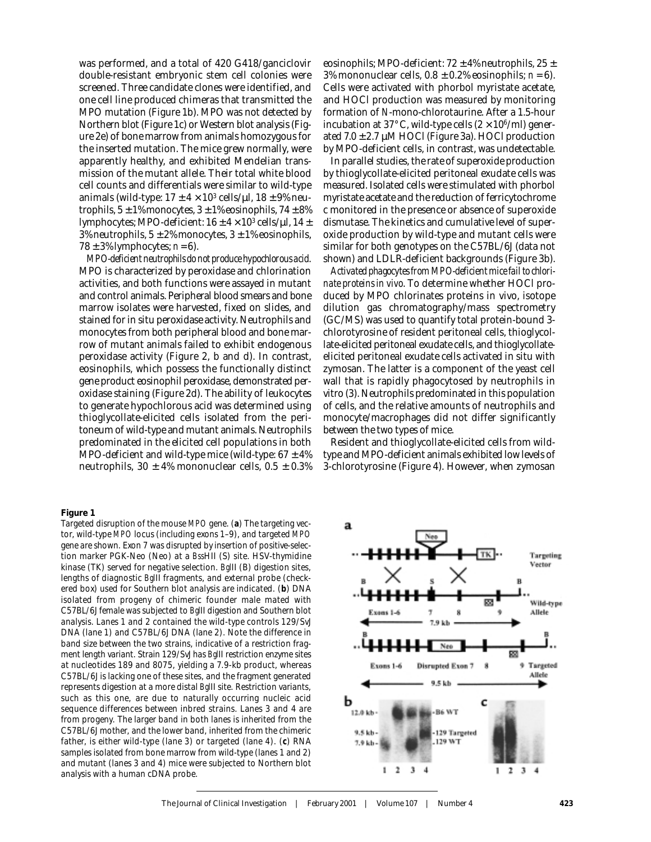was performed, and a total of 420 G418/ganciclovir double-resistant embryonic stem cell colonies were screened. Three candidate clones were identified, and one cell line produced chimeras that transmitted the MPO mutation (Figure 1b). MPO was not detected by Northern blot (Figure 1c) or Western blot analysis (Figure 2e) of bone marrow from animals homozygous for the inserted mutation. The mice grew normally, were apparently healthy, and exhibited Mendelian transmission of the mutant allele. Their total white blood cell counts and differentials were similar to wild-type animals (wild-type:  $17 \pm 4 \times 10^3$  cells/µl,  $18 \pm 9\%$  neutrophils,  $5 \pm 1\%$  monocytes,  $3 \pm 1\%$  eosinophils,  $74 \pm 8\%$ lymphocytes; MPO-deficient:  $16 \pm 4 \times 10^3$  cells/ $\mu$ l,  $14 \pm$ 3% neutrophils,  $5 \pm 2$ % monocytes,  $3 \pm 1$ % eosinophils,  $78 \pm 3\%$  lymphocytes;  $n = 6$ ).

*MPO-deficient neutrophils do not produce hypochlorous acid*. MPO is characterized by peroxidase and chlorination activities, and both functions were assayed in mutant and control animals. Peripheral blood smears and bone marrow isolates were harvested, fixed on slides, and stained for in situ peroxidase activity. Neutrophils and monocytes from both peripheral blood and bone marrow of mutant animals failed to exhibit endogenous peroxidase activity (Figure 2, b and d). In contrast, eosinophils, which possess the functionally distinct gene product eosinophil peroxidase, demonstrated peroxidase staining (Figure 2d). The ability of leukocytes to generate hypochlorous acid was determined using thioglycollate-elicited cells isolated from the peritoneum of wild-type and mutant animals. Neutrophils predominated in the elicited cell populations in both MPO-deficient and wild-type mice (wild-type:  $67 \pm 4\%$ ) neutrophils,  $30 \pm 4\%$  mononuclear cells,  $0.5 \pm 0.3\%$ 

#### **Figure 1**

Targeted disruption of the mouse *MPO* gene. (**a**) The targeting vector, wild-type *MPO* locus (including exons 1–9), and targeted *MPO* gene are shown. Exon 7 was disrupted by insertion of positive-selection marker PGK-Neo (Neo) at a *Bss*HII (S) site. HSV-thymidine kinase (TK) served for negative selection. *Bgl*II (B) digestion sites, lengths of diagnostic *Bgl*II fragments, and external probe (checkered box) used for Southern blot analysis are indicated. (**b**) DNA isolated from progeny of chimeric founder male mated with C57BL/6J female was subjected to *Bgl*II digestion and Southern blot analysis. Lanes 1 and 2 contained the wild-type controls 129/SvJ DNA (lane 1) and C57BL/6J DNA (lane 2). Note the difference in band size between the two strains, indicative of a restriction fragment length variant. Strain 129/SvJ has *Bgl*II restriction enzyme sites at nucleotides 189 and 8075, yielding a 7.9-kb product, whereas C57BL/6J is lacking one of these sites, and the fragment generated represents digestion at a more distal *Bgl*II site. Restriction variants, such as this one, are due to naturally occurring nucleic acid sequence differences between inbred strains. Lanes 3 and 4 are from progeny. The larger band in both lanes is inherited from the C57BL/6J mother, and the lower band, inherited from the chimeric father, is either wild-type (lane 3) or targeted (lane 4). (**c**) RNA samples isolated from bone marrow from wild-type (lanes 1 and 2) and mutant (lanes 3 and 4) mice were subjected to Northern blot analysis with a human cDNA probe.

eosinophils; MPO-deficient:  $72 \pm 4\%$  neutrophils,  $25 \pm$ 3% mononuclear cells,  $0.8 \pm 0.2$ % eosinophils;  $n = 6$ ). Cells were activated with phorbol myristate acetate, and HOCl production was measured by monitoring formation of *N*-mono-chlorotaurine. After a 1.5-hour incubation at 37°C, wild-type cells  $(2 \times 10^6$ /ml) generated  $7.0 \pm 2.7 \mu M$  HOCl (Figure 3a). HOCl production by MPO-deficient cells, in contrast, was undetectable.

In parallel studies, the rate of superoxide production by thioglycollate-elicited peritoneal exudate cells was measured. Isolated cells were stimulated with phorbol myristate acetate and the reduction of ferricytochrome c monitored in the presence or absence of superoxide dismutase. The kinetics and cumulative level of superoxide production by wild-type and mutant cells were similar for both genotypes on the C57BL/6J (data not shown) and LDLR-deficient backgrounds (Figure 3b).

*Activated phagocytes from MPO-deficient mice fail to chlorinate proteins in vivo*. To determine whether HOCl produced by MPO chlorinates proteins in vivo, isotope dilution gas chromatography/mass spectrometry (GC/MS) was used to quantify total protein-bound 3 chlorotyrosine of resident peritoneal cells, thioglycollate-elicited peritoneal exudate cells, and thioglycollateelicited peritoneal exudate cells activated in situ with zymosan. The latter is a component of the yeast cell wall that is rapidly phagocytosed by neutrophils in vitro (3). Neutrophils predominated in this population of cells, and the relative amounts of neutrophils and monocyte/macrophages did not differ significantly between the two types of mice.

Resident and thioglycollate-elicited cells from wildtype and MPO-deficient animals exhibited low levels of 3-chlorotyrosine (Figure 4). However, when zymosan

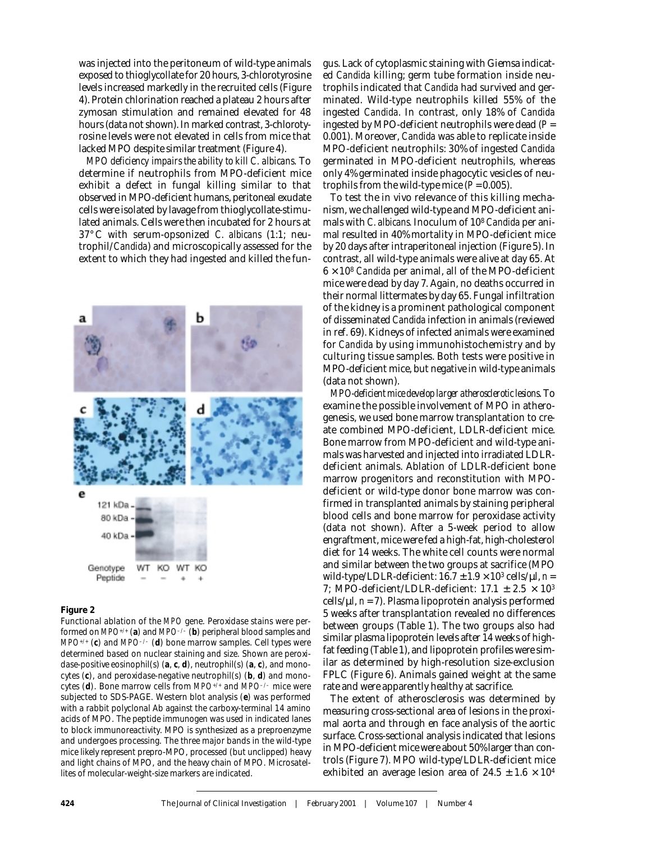was injected into the peritoneum of wild-type animals exposed to thioglycollate for 20 hours, 3-chlorotyrosine levels increased markedly in the recruited cells (Figure 4). Protein chlorination reached a plateau 2 hours after zymosan stimulation and remained elevated for 48 hours (data not shown). In marked contrast, 3-chlorotyrosine levels were not elevated in cells from mice that lacked MPO despite similar treatment (Figure 4).

*MPO deficiency impairs the ability to kill C. albicans*. To determine if neutrophils from MPO-deficient mice exhibit a defect in fungal killing similar to that observed in MPO-deficient humans, peritoneal exudate cells were isolated by lavage from thioglycollate-stimulated animals. Cells were then incubated for 2 hours at 37°C with serum-opsonized *C. albicans* (1:1; neutrophil/*Candida*) and microscopically assessed for the extent to which they had ingested and killed the fun-



### **Figure 2**

Functional ablation of the *MPO* gene. Peroxidase stains were performed on *MPO+/+* (**a**) and *MPO–/–* (**b**) peripheral blood samples and *MPO+/+* (**c**) and *MPO–/–* (**d**) bone marrow samples. Cell types were determined based on nuclear staining and size. Shown are peroxidase-positive eosinophil(s) (**a**, **c**, **d**), neutrophil(s) (**a**, **c**), and monocytes (**c**), and peroxidase-negative neutrophil(s) (**b**, **d**) and monocytes (**d**). Bone marrow cells from *MPO+/+* and *MPO–/–* mice were subjected to SDS-PAGE. Western blot analysis (**e**) was performed with a rabbit polyclonal Ab against the carboxy-terminal 14 amino acids of MPO. The peptide immunogen was used in indicated lanes to block immunoreactivity. MPO is synthesized as a preproenzyme and undergoes processing. The three major bands in the wild-type mice likely represent prepro-MPO, processed (but unclipped) heavy and light chains of MPO, and the heavy chain of MPO. Microsatellites of molecular-weight-size markers are indicated.

gus. Lack of cytoplasmic staining with Giemsa indicated *Candida* killing; germ tube formation inside neutrophils indicated that *Candida* had survived and germinated. Wild-type neutrophils killed 55% of the ingested *Candida*. In contrast, only 18% of *Candida* ingested by MPO-deficient neutrophils were dead (*P* = 0.001). Moreover, *Candida* was able to replicate inside MPO-deficient neutrophils: 30% of ingested *Candida* germinated in MPO-deficient neutrophils, whereas only 4% germinated inside phagocytic vesicles of neutrophils from the wild-type mice  $(P = 0.005)$ .

To test the in vivo relevance of this killing mechanism, we challenged wild-type and MPO-deficient animals with *C. albicans.* Inoculum of 108 *Candida* per animal resulted in 40% mortality in MPO-deficient mice by 20 days after intraperitoneal injection (Figure 5). In contrast, all wild-type animals were alive at day 65. At  $6 \times 10^8$  *Candida* per animal, all of the MPO-deficient mice were dead by day 7. Again, no deaths occurred in their normal littermates by day 65. Fungal infiltration of the kidney is a prominent pathological component of disseminated *Candida* infection in animals (reviewed in ref. 69). Kidneys of infected animals were examined for *Candida* by using immunohistochemistry and by culturing tissue samples. Both tests were positive in MPO-deficient mice, but negative in wild-type animals (data not shown).

*MPO-deficient mice develop larger atherosclerotic lesions*. To examine the possible involvement of MPO in atherogenesis, we used bone marrow transplantation to create combined MPO-deficient, LDLR-deficient mice. Bone marrow from MPO-deficient and wild-type animals was harvested and injected into irradiated LDLRdeficient animals. Ablation of LDLR-deficient bone marrow progenitors and reconstitution with MPOdeficient or wild-type donor bone marrow was confirmed in transplanted animals by staining peripheral blood cells and bone marrow for peroxidase activity (data not shown). After a 5-week period to allow engraftment, mice were fed a high-fat, high-cholesterol diet for 14 weeks. The white cell counts were normal and similar between the two groups at sacrifice (MPO wild-type/LDLR-deficient:  $16.7 \pm 1.9 \times 10^3$  cells/ $\mu$ l, *n* = 7; MPO-deficient/LDLR-deficient:  $17.1 \pm 2.5 \times 10^3$ cells/ $\mu$ l,  $n = 7$ ). Plasma lipoprotein analysis performed 5 weeks after transplantation revealed no differences between groups (Table 1). The two groups also had similar plasma lipoprotein levels after 14 weeks of highfat feeding (Table 1), and lipoprotein profiles were similar as determined by high-resolution size-exclusion FPLC (Figure 6). Animals gained weight at the same rate and were apparently healthy at sacrifice.

The extent of atherosclerosis was determined by measuring cross-sectional area of lesions in the proximal aorta and through en face analysis of the aortic surface. Cross-sectional analysis indicated that lesions in MPO-deficient mice were about 50% larger than controls (Figure 7). MPO wild-type/LDLR-deficient mice exhibited an average lesion area of  $24.5 \pm 1.6 \times 10^4$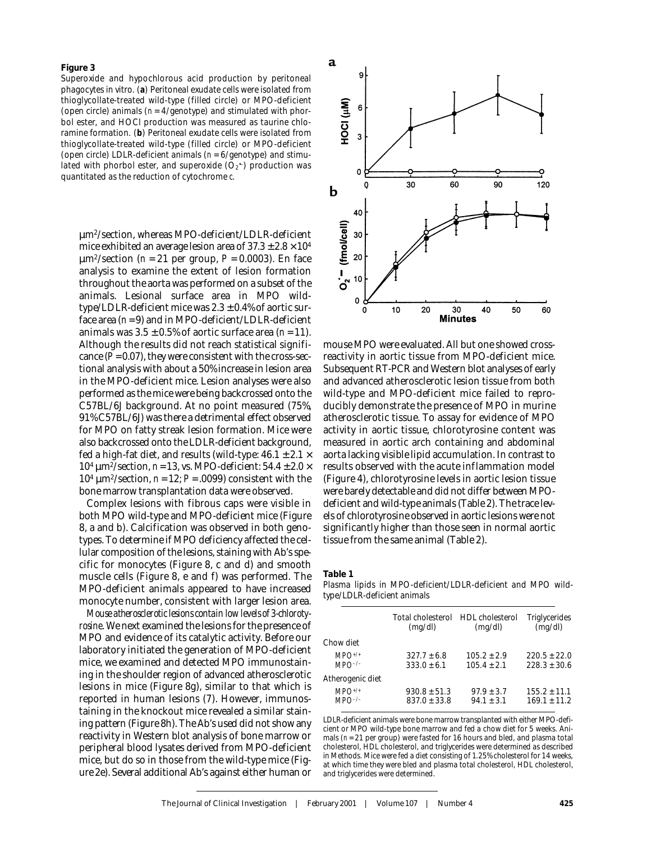Superoxide and hypochlorous acid production by peritoneal phagocytes in vitro. (**a**) Peritoneal exudate cells were isolated from thioglycollate-treated wild-type (filled circle) or MPO-deficient (open circle) animals (*n* = 4/genotype) and stimulated with phorbol ester, and HOCl production was measured as taurine chloramine formation. (**b**) Peritoneal exudate cells were isolated from thioglycollate-treated wild-type (filled circle) or MPO-deficient (open circle) LDLR-deficient animals (*n* = 6/genotype) and stimulated with phorbol ester, and superoxide  $(O_2^-)$  production was quantitated as the reduction of cytochrome *c*.

µm2/section, whereas MPO-deficient/LDLR-deficient mice exhibited an average lesion area of  $37.3 \pm 2.8 \times 10^4$  $\mu$ m<sup>2</sup>/section (*n* = 21 per group, *P* = 0.0003). En face analysis to examine the extent of lesion formation throughout the aorta was performed on a subset of the animals. Lesional surface area in MPO wildtype/LDLR-deficient mice was  $2.3 \pm 0.4\%$  of aortic surface area (*n* = 9) and in MPO-deficient/LDLR-deficient animals was  $3.5 \pm 0.5\%$  of aortic surface area ( $n = 11$ ). Although the results did not reach statistical significance  $(P = 0.07)$ , they were consistent with the cross-sectional analysis with about a 50% increase in lesion area in the MPO-deficient mice. Lesion analyses were also performed as the mice were being backcrossed onto the C57BL/6J background. At no point measured (75%, 91% C57BL/6J) was there a detrimental effect observed for MPO on fatty streak lesion formation. Mice were also backcrossed onto the LDLR-deficient background, fed a high-fat diet, and results (wild-type:  $46.1 \pm 2.1 \times$ 104 µm2/section, *n* = 13, vs. MPO-deficient: 54.4 ± 2.0 × 104 µm2/section, *n* = 12; *P* = .0099) consistent with the bone marrow transplantation data were observed.

Complex lesions with fibrous caps were visible in both MPO wild-type and MPO-deficient mice (Figure 8, a and b). Calcification was observed in both genotypes. To determine if MPO deficiency affected the cellular composition of the lesions, staining with Ab's specific for monocytes (Figure 8, c and d) and smooth muscle cells (Figure 8, e and f) was performed. The MPO-deficient animals appeared to have increased monocyte number, consistent with larger lesion area.

*Mouse atherosclerotic lesions contain low levels of 3-chlorotyrosine*. We next examined the lesions for the presence of MPO and evidence of its catalytic activity. Before our laboratory initiated the generation of MPO-deficient mice, we examined and detected MPO immunostaining in the shoulder region of advanced atherosclerotic lesions in mice (Figure 8g), similar to that which is reported in human lesions (7). However, immunostaining in the knockout mice revealed a similar staining pattern (Figure 8h). The Ab's used did not show any reactivity in Western blot analysis of bone marrow or peripheral blood lysates derived from MPO-deficient mice, but do so in those from the wild-type mice (Figure 2e). Several additional Ab's against either human or



mouse MPO were evaluated. All but one showed crossreactivity in aortic tissue from MPO-deficient mice. Subsequent RT-PCR and Western blot analyses of early and advanced atherosclerotic lesion tissue from both wild-type and MPO-deficient mice failed to reproducibly demonstrate the presence of MPO in murine atherosclerotic tissue. To assay for evidence of MPO activity in aortic tissue, chlorotyrosine content was measured in aortic arch containing and abdominal aorta lacking visible lipid accumulation. In contrast to results observed with the acute inflammation model (Figure 4), chlorotyrosine levels in aortic lesion tissue were barely detectable and did not differ between MPOdeficient and wild-type animals (Table 2). The trace levels of chlorotyrosine observed in aortic lesions were not significantly higher than those seen in normal aortic tissue from the same animal (Table 2).

**Table 1**

Plasma lipids in MPO-deficient/LDLR-deficient and MPO wildtype/LDLR-deficient animals

|                            | Total cholesterol HDL cholesterol<br>(mq/dl) | (mq/dl)                        | Triglycerides<br>(mq/dl)           |
|----------------------------|----------------------------------------------|--------------------------------|------------------------------------|
| Chow diet                  |                                              |                                |                                    |
| $MPO^{+/+}$<br>$MPO^{-/-}$ | $327.7 + 6.8$<br>$333.0 + 6.1$               | $105.2 + 2.9$<br>$105.4 + 2.1$ | $220.5 + 22.0$<br>$228.3 + 30.6$   |
| Atherogenic diet           |                                              |                                |                                    |
| $MPO^{+/+}$                | $930.8 + 51.3$<br>$837.0 + 33.8$             | $97.9 + 3.7$<br>$94.1 + 3.1$   | $155.2 \pm 11.1$<br>$169.1 + 11.2$ |

LDLR-deficient animals were bone marrow transplanted with either MPO-deficient or MPO wild-type bone marrow and fed a chow diet for 5 weeks. Animals ( $n = 21$  per group) were fasted for 16 hours and bled, and plasma total cholesterol, HDL cholesterol, and triglycerides were determined as described in Methods. Mice were fed a diet consisting of 1.25% cholesterol for 14 weeks, at which time they were bled and plasma total cholesterol, HDL cholesterol, and triglycerides were determined.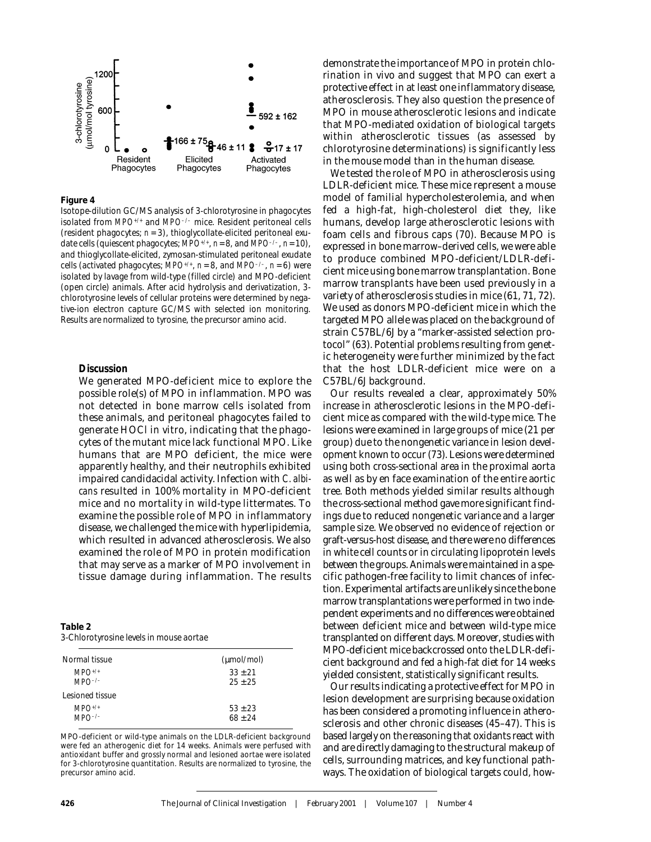

Isotope-dilution GC/MS analysis of 3-chlorotyrosine in phagocytes isolated from *MPO+/+* and *MPO–/–* mice. Resident peritoneal cells (resident phagocytes; *n* = 3), thioglycollate-elicited peritoneal exudate cells (quiescent phagocytes; *MPO+/+*, *n* = 8, and *MPO–/–*, *n* = 10), and thioglycollate-elicited, zymosan-stimulated peritoneal exudate cells (activated phagocytes;  $MPO^{+/+}$ ,  $n = 8$ , and  $MPO^{-/-}$ ,  $n = 6$ ) were isolated by lavage from wild-type (filled circle) and MPO-deficient (open circle) animals. After acid hydrolysis and derivatization, 3 chlorotyrosine levels of cellular proteins were determined by negative-ion electron capture GC/MS with selected ion monitoring. Results are normalized to tyrosine, the precursor amino acid.

## **Discussion**

We generated MPO-deficient mice to explore the possible role(s) of MPO in inflammation. MPO was not detected in bone marrow cells isolated from these animals, and peritoneal phagocytes failed to generate HOCl in vitro, indicating that the phagocytes of the mutant mice lack functional MPO. Like humans that are MPO deficient, the mice were apparently healthy, and their neutrophils exhibited impaired candidacidal activity. Infection with *C. albicans* resulted in 100% mortality in MPO-deficient mice and no mortality in wild-type littermates. To examine the possible role of MPO in inflammatory disease, we challenged the mice with hyperlipidemia, which resulted in advanced atherosclerosis. We also examined the role of MPO in protein modification that may serve as a marker of MPO involvement in tissue damage during inflammation. The results

| Table 2                                 |  |  |
|-----------------------------------------|--|--|
| 3-Chlorotyrosine levels in mouse aortae |  |  |

| Normal tissue              | (µmol/mol)             |
|----------------------------|------------------------|
| $MPO^{+/+}$<br>$MPO^{-/-}$ | $33 + 21$<br>$25 + 25$ |
| Lesioned tissue            |                        |
| $MPO^{+/+}$<br>$MPO^{-/-}$ | $53 + 23$<br>$68 + 24$ |
|                            |                        |

MPO-deficient or wild-type animals on the LDLR-deficient background were fed an atherogenic diet for 14 weeks. Animals were perfused with antioxidant buffer and grossly normal and lesioned aortae were isolated for 3-chlorotyrosine quantitation. Results are normalized to tyrosine, the precursor amino acid.

demonstrate the importance of MPO in protein chlorination in vivo and suggest that MPO can exert a protective effect in at least one inflammatory disease, atherosclerosis. They also question the presence of MPO in mouse atherosclerotic lesions and indicate that MPO-mediated oxidation of biological targets within atherosclerotic tissues (as assessed by chlorotyrosine determinations) is significantly less in the mouse model than in the human disease.

We tested the role of MPO in atherosclerosis using LDLR-deficient mice. These mice represent a mouse model of familial hypercholesterolemia, and when fed a high-fat, high-cholesterol diet they, like humans, develop large atherosclerotic lesions with foam cells and fibrous caps (70). Because MPO is expressed in bone marrow–derived cells, we were able to produce combined MPO-deficient/LDLR-deficient mice using bone marrow transplantation. Bone marrow transplants have been used previously in a variety of atherosclerosis studies in mice (61, 71, 72). We used as donors MPO-deficient mice in which the targeted MPO allele was placed on the background of strain C57BL/6J by a "marker-assisted selection protocol" (63). Potential problems resulting from genetic heterogeneity were further minimized by the fact that the host LDLR-deficient mice were on a C57BL/6J background.

Our results revealed a clear, approximately 50% increase in atherosclerotic lesions in the MPO-deficient mice as compared with the wild-type mice. The lesions were examined in large groups of mice (21 per group) due to the nongenetic variance in lesion development known to occur (73). Lesions were determined using both cross-sectional area in the proximal aorta as well as by en face examination of the entire aortic tree. Both methods yielded similar results although the cross-sectional method gave more significant findings due to reduced nongenetic variance and a larger sample size. We observed no evidence of rejection or graft-versus-host disease, and there were no differences in white cell counts or in circulating lipoprotein levels between the groups. Animals were maintained in a specific pathogen-free facility to limit chances of infection. Experimental artifacts are unlikely since the bone marrow transplantations were performed in two independent experiments and no differences were obtained between deficient mice and between wild-type mice transplanted on different days. Moreover, studies with MPO-deficient mice backcrossed onto the LDLR-deficient background and fed a high-fat diet for 14 weeks yielded consistent, statistically significant results.

Our results indicating a protective effect for MPO in lesion development are surprising because oxidation has been considered a promoting influence in atherosclerosis and other chronic diseases (45–47). This is based largely on the reasoning that oxidants react with and are directly damaging to the structural makeup of cells, surrounding matrices, and key functional pathways. The oxidation of biological targets could, how-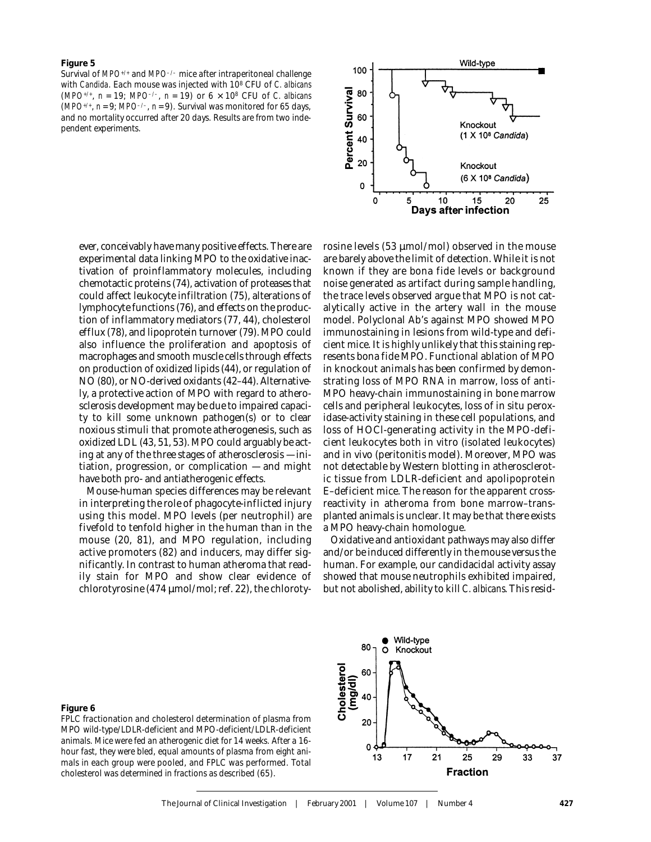Survival of *MPO+/+* and *MPO–/–* mice after intraperitoneal challenge with *Candida*. Each mouse was injected with 108 CFU of *C. albicans* (*MPO+/+*, *n* = 19; *MPO–/–*, *n* = 19) or 6 × 108 CFU of *C. albicans* ( $MPO^{+/+}$ ,  $n = 9$ ;  $MPO^{-/-}$ ,  $n = 9$ ). Survival was monitored for 65 days, and no mortality occurred after 20 days. Results are from two independent experiments.

ever, conceivably have many positive effects. There are experimental data linking MPO to the oxidative inactivation of proinflammatory molecules, including chemotactic proteins (74), activation of proteases that could affect leukocyte infiltration (75), alterations of lymphocyte functions (76), and effects on the production of inflammatory mediators (77, 44), cholesterol efflux (78), and lipoprotein turnover (79). MPO could also influence the proliferation and apoptosis of macrophages and smooth muscle cells through effects on production of oxidized lipids (44), or regulation of NO (80), or NO-derived oxidants (42–44). Alternatively, a protective action of MPO with regard to atherosclerosis development may be due to impaired capacity to kill some unknown pathogen(s) or to clear noxious stimuli that promote atherogenesis, such as oxidized LDL (43, 51, 53). MPO could arguably be acting at any of the three stages of atherosclerosis — initiation, progression, or complication — and might have both pro- and antiatherogenic effects.

Mouse-human species differences may be relevant in interpreting the role of phagocyte-inflicted injury using this model. MPO levels (per neutrophil) are fivefold to tenfold higher in the human than in the mouse (20, 81), and MPO regulation, including active promoters (82) and inducers, may differ significantly. In contrast to human atheroma that readily stain for MPO and show clear evidence of chlorotyrosine (474 µmol/mol; ref. 22), the chloroty-



rosine levels (53 µmol/mol) observed in the mouse are barely above the limit of detection. While it is not known if they are bona fide levels or background noise generated as artifact during sample handling, the trace levels observed argue that MPO is not catalytically active in the artery wall in the mouse model. Polyclonal Ab's against MPO showed MPO immunostaining in lesions from wild-type and deficient mice. It is highly unlikely that this staining represents bona fide MPO. Functional ablation of MPO in knockout animals has been confirmed by demonstrating loss of MPO RNA in marrow, loss of anti-MPO heavy-chain immunostaining in bone marrow cells and peripheral leukocytes, loss of in situ peroxidase-activity staining in these cell populations, and loss of HOCl-generating activity in the MPO-deficient leukocytes both in vitro (isolated leukocytes) and in vivo (peritonitis model). Moreover, MPO was not detectable by Western blotting in atherosclerotic tissue from LDLR-deficient and apolipoprotein E–deficient mice. The reason for the apparent crossreactivity in atheroma from bone marrow–transplanted animals is unclear. It may be that there exists a MPO heavy-chain homologue.

Oxidative and antioxidant pathways may also differ and/or be induced differently in the mouse versus the human. For example, our candidacidal activity assay showed that mouse neutrophils exhibited impaired, but not abolished, ability to kill *C. albicans*. This resid-

## **Figure 6**

FPLC fractionation and cholesterol determination of plasma from MPO wild-type/LDLR-deficient and MPO-deficient/LDLR-deficient animals. Mice were fed an atherogenic diet for 14 weeks. After a 16 hour fast, they were bled, equal amounts of plasma from eight animals in each group were pooled, and FPLC was performed. Total cholesterol was determined in fractions as described (65).

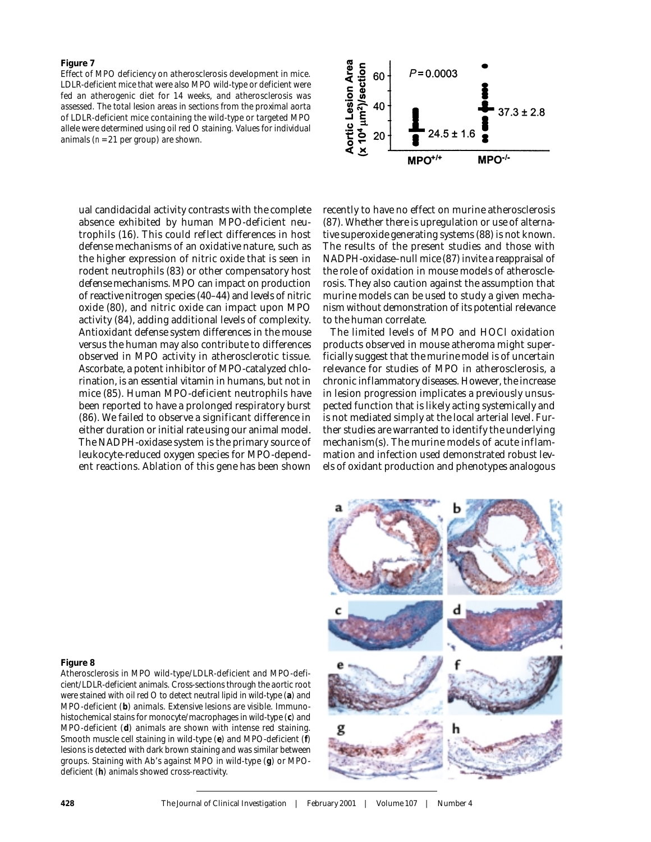Effect of MPO deficiency on atherosclerosis development in mice. LDLR-deficient mice that were also MPO wild-type or deficient were fed an atherogenic diet for 14 weeks, and atherosclerosis was assessed. The total lesion areas in sections from the proximal aorta of LDLR-deficient mice containing the wild-type or targeted MPO allele were determined using oil red O staining. Values for individual animals (*n* = 21 per group) are shown.

ual candidacidal activity contrasts with the complete absence exhibited by human MPO-deficient neutrophils (16). This could reflect differences in host defense mechanisms of an oxidative nature, such as the higher expression of nitric oxide that is seen in rodent neutrophils (83) or other compensatory host defense mechanisms. MPO can impact on production of reactive nitrogen species (40–44) and levels of nitric oxide (80), and nitric oxide can impact upon MPO activity (84), adding additional levels of complexity. Antioxidant defense system differences in the mouse versus the human may also contribute to differences observed in MPO activity in atherosclerotic tissue. Ascorbate, a potent inhibitor of MPO-catalyzed chlorination, is an essential vitamin in humans, but not in mice (85). Human MPO-deficient neutrophils have been reported to have a prolonged respiratory burst (86). We failed to observe a significant difference in either duration or initial rate using our animal model. The NADPH-oxidase system is the primary source of leukocyte-reduced oxygen species for MPO-dependent reactions. Ablation of this gene has been shown



recently to have no effect on murine atherosclerosis (87). Whether there is upregulation or use of alternative superoxide generating systems (88) is not known. The results of the present studies and those with NADPH-oxidase–null mice (87) invite a reappraisal of the role of oxidation in mouse models of atherosclerosis. They also caution against the assumption that murine models can be used to study a given mechanism without demonstration of its potential relevance to the human correlate.

The limited levels of MPO and HOCl oxidation products observed in mouse atheroma might superficially suggest that the murine model is of uncertain relevance for studies of MPO in atherosclerosis, a chronic inflammatory diseases. However, the increase in lesion progression implicates a previously unsuspected function that is likely acting systemically and is not mediated simply at the local arterial level. Further studies are warranted to identify the underlying mechanism(s). The murine models of acute inflammation and infection used demonstrated robust levels of oxidant production and phenotypes analogous

#### **Figure 8**

Atherosclerosis in MPO wild-type/LDLR-deficient and MPO-deficient/LDLR-deficient animals. Cross-sections through the aortic root were stained with oil red O to detect neutral lipid in wild-type (**a**) and MPO-deficient (**b**) animals. Extensive lesions are visible. Immunohistochemical stains for monocyte/macrophages in wild-type (**c**) and MPO-deficient (**d**) animals are shown with intense red staining. Smooth muscle cell staining in wild-type (**e**) and MPO-deficient (**f**) lesions is detected with dark brown staining and was similar between groups. Staining with Ab's against MPO in wild-type (**g**) or MPOdeficient (**h**) animals showed cross-reactivity.

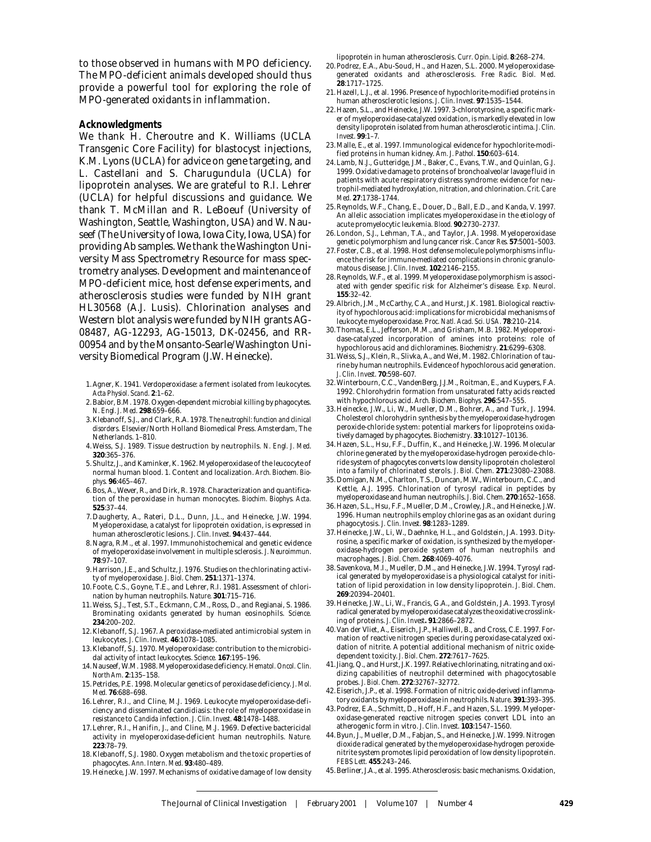to those observed in humans with MPO deficiency. The MPO-deficient animals developed should thus provide a powerful tool for exploring the role of MPO-generated oxidants in inflammation.

#### **Acknowledgments**

We thank H. Cheroutre and K. Williams (UCLA Transgenic Core Facility) for blastocyst injections, K.M. Lyons (UCLA) for advice on gene targeting, and L. Castellani and S. Charugundula (UCLA) for lipoprotein analyses. We are grateful to R.I. Lehrer (UCLA) for helpful discussions and guidance. We thank T. McMillan and R. LeBoeuf (University of Washington, Seattle, Washington, USA) and W. Nauseef (The University of Iowa, Iowa City, Iowa, USA) for providing Ab samples. We thank the Washington University Mass Spectrometry Resource for mass spectrometry analyses. Development and maintenance of MPO-deficient mice, host defense experiments, and atherosclerosis studies were funded by NIH grant HL30568 (A.J. Lusis). Chlorination analyses and Western blot analysis were funded by NIH grants AG-08487, AG-12293, AG-15013, DK-02456, and RR-00954 and by the Monsanto-Searle/Washington University Biomedical Program (J.W. Heinecke).

- 1. Agner, K. 1941. Verdoperoxidase: a ferment isolated from leukocytes. *Acta Physiol. Scand*. **2**:1–62.
- 2. Babior, B.M. 1978. Oxygen-dependent microbial killing by phagocytes. *N. Engl. J. Med*. **298**:659–666.
- 3. Klebanoff, S.J., and Clark, R.A. 1978. *The neutrophil: function and clinical disorders.* Elsevier/North Holland Biomedical Press. Amsterdam, The Netherlands. 1–810.
- 4. Weiss, S.J. 1989. Tissue destruction by neutrophils. *N. Engl. J. Med*. **320**:365–376.
- 5. Shultz, J., and Kaminker, K. 1962. Myeloperoxidase of the leucocyte of normal human blood. 1. Content and localization. *Arch. Biochem. Biophys*. **96**:465–467.
- 6. Bos, A., Wever, R., and Dirk, R. 1978. Characterization and quantification of the peroxidase in human monocytes. *Biochim. Biophys. Acta.* **525**:37–44.
- 7. Daugherty, A., Rateri, D.L., Dunn, J.L., and Heinecke, J.W. 1994. Myeloperoxidase, a catalyst for lipoprotein oxidation, is expressed in human atherosclerotic lesions. *J. Clin. Invest*. **94**:437–444.
- 8. Nagra, R.M., et al. 1997. Immunohistochemical and genetic evidence of myeloperoxidase involvement in multiple sclerosis. *J. Neuroimmun*. **78**:97–107.
- 9. Harrison, J.E., and Schultz, J. 1976. Studies on the chlorinating activity of myeloperoxidase. *J. Biol. Chem*. **251**:1371–1374.
- 10. Foote, C.S., Goyne, T.E., and Lehrer, R.I. 1981. Assessment of chlorination by human neutrophils. *Nature.* **301**:715–716.
- 11. Weiss, S.J., Test, S.T., Eckmann, C.M., Ross, D., and Regianai, S. 1986. Brominating oxidants generated by human eosinophils. *Science.* **234**:200–202.
- 12. Klebanoff, S.J. 1967. A peroxidase-mediated antimicrobial system in leukocytes. *J. Clin. Invest*. **46**:1078–1085.
- 13. Klebanoff, S.J. 1970. Myeloperoxidase: contribution to the microbicidal activity of intact leukocytes. *Science.* **167**:195–196.
- 14. Nauseef, W.M. 1988. Myeloperoxidase deficiency. *Hematol. Oncol. Clin. North Am*. **2**:135–158.
- 15. Petrides, P.E. 1998. Molecular genetics of peroxidase deficiency. *J. Mol. Med.* **76**:688–698.
- 16. Lehrer, R.I., and Cline, M.J. 1969. Leukocyte myeloperoxidase-deficiency and disseminated candidiasis: the role of myeloperoxidase in resistance to *Candida* infection. *J. Clin. Invest*. **48**:1478–1488.
- 17. Lehrer, R.I., Hanifin, J., and Cline, M.J. 1969. Defective bactericidal activity in myeloperoxidase-deficient human neutrophils. *Nature.* **223**:78–79.
- 18. Klebanoff, S.J. 1980. Oxygen metabolism and the toxic properties of phagocytes. *Ann. Intern. Med*. **93**:480–489.
- 19. Heinecke, J.W. 1997. Mechanisms of oxidative damage of low density

lipoprotein in human atherosclerosis. *Curr. Opin. Lipid*. **8**:268–274.

- 20. Podrez, E.A., Abu-Soud, H., and Hazen, S.L. 2000. Myeloperoxidasegenerated oxidants and atherosclerosis. *Free Radic. Biol. Med*. **28**:1717–1725.
- 21. Hazell, L.J., et al. 1996. Presence of hypochlorite-modified proteins in human atherosclerotic lesions. *J. Clin. Invest.* **97**:1535–1544.
- 22. Hazen, S.L., and Heinecke, J.W. 1997. 3-chlorotyrosine, a specific marker of myeloperoxidase-catalyzed oxidation, is markedly elevated in low density lipoprotein isolated from human atherosclerotic intima. *J. Clin. Invest*. **99**:1–7.
- 23. Malle, E., et al. 1997. Immunological evidence for hypochlorite-modified proteins in human kidney. *Am. J. Pathol*. **150**:603–614.
- 24. Lamb, N.J., Gutteridge, J.M., Baker, C., Evans, T.W., and Quinlan, G.J. 1999. Oxidative damage to proteins of bronchoalveolar lavage fluid in patients with acute respiratory distress syndrome: evidence for neutrophil-mediated hydroxylation, nitration, and chlorination. *Crit. Care Med*. **27**:1738–1744.
- 25. Reynolds, W.F., Chang, E., Douer, D., Ball, E.D., and Kanda, V. 1997. An allelic association implicates myeloperoxidase in the etiology of acute promyelocytic leukemia. *Blood.* **90**:2730–2737.
- 26. London, S.J., Lehman, T.A., and Taylor, J.A. 1998. Myeloperoxidase genetic polymorphism and lung cancer risk. *Cancer Res.* **57**:5001–5003.
- 27. Foster, C.B., et al. 1998. Host defense molecule polymorphisms influence the risk for immune-mediated complications in chronic granulomatous disease. *J. Clin. Invest*. **102**:2146–2155.
- 28. Reynolds, W.F., et al. 1999. Myeloperoxidase polymorphism is associated with gender specific risk for Alzheimer's disease. *Exp. Neurol*. **155**:32–42.
- 29. Albrich, J.M., McCarthy, C.A., and Hurst, J.K. 1981. Biological reactivity of hypochlorous acid: implications for microbicidal mechanisms of leukocyte myeloperoxidase. *Proc. Natl. Acad. Sci. USA.* **78**:210–214.
- 30. Thomas, E.L., Jefferson, M.M., and Grisham, M.B. 1982. Myeloperoxidase-catalyzed incorporation of amines into proteins: role of hypochlorous acid and dichloramines. *Biochemistry.* **21**:6299–6308.
- 31. Weiss, S.J., Klein, R., Slivka, A., and Wei, M. 1982. Chlorination of taurine by human neutrophils. Evidence of hypochlorous acid generation. *J. Clin. Invest*. **70**:598–607.
- 32. Winterbourn, C.C., VandenBerg, J.J.M., Roitman, E., and Kuypers, F.A. 1992. Chlorohydrin formation from unsaturated fatty acids reacted with hypochlorous acid. *Arch. Biochem. Biophys.* **296**:547–555.
- 33. Heinecke, J.W., Li, W., Mueller, D.M., Bohrer, A., and Turk, J. 1994. Cholesterol chlorohydrin synthesis by the myeloperoxidase-hydrogen peroxide-chloride system: potential markers for lipoproteins oxidatively damaged by phagocytes. *Biochemistry*. **33**:10127–10136.
- 34. Hazen, S.L., Hsu, F.F., Duffin, K., and Heinecke, J.W. 1996. Molecular chlorine generated by the myeloperoxidase-hydrogen peroxide-chloride system of phagocytes converts low density lipoprotein cholesterol into a family of chlorinated sterols. *J. Biol. Chem*. **271**:23080–23088.
- 35. Domigan, N.M., Charlton, T.S., Duncan, M.W., Winterbourn, C.C., and Kettle, A.J. 1995. Chlorination of tyrosyl radical in peptides by myeloperoxidase and human neutrophils. *J. Biol. Chem*. **270**:1652–1658.
- 36. Hazen, S.L., Hsu, F.F., Mueller, D.M., Crowley, J.R., and Heinecke, J.W. 1996. Human neutrophils employ chlorine gas as an oxidant during phagocytosis. *J. Clin. Invest*. **98**:1283–1289.
- 37. Heinecke, J.W., Li, W., Daehnke, H.L., and Goldstein, J.A. 1993. Dityrosine, a specific marker of oxidation, is synthesized by the myeloperoxidase-hydrogen peroxide system of human neutrophils and macrophages. *J. Biol. Chem*. **268**:4069–4076.
- 38. Savenkova, M.I., Mueller, D.M., and Heinecke, J.W. 1994. Tyrosyl radical generated by myeloperoxidase is a physiological catalyst for inititation of lipid peroxidation in low density lipoprotein. *J. Biol. Chem*. **269**:20394–20401.
- 39. Heinecke, J.W., Li, W., Francis, G.A., and Goldstein, J.A. 1993. Tyrosyl radical generated by myeloperoxidase catalyzes the oxidative crosslinking of proteins. *J. Clin. Invest***. 91**:2866–2872.
- 40. Van der Vliet, A., Eiserich, J.P., Halliwell, B., and Cross, C.E. 1997. Formation of reactive nitrogen species during peroxidase-catalyzed oxidation of nitrite. A potential additional mechanism of nitric oxidedependent toxicity. *J. Biol. Chem*. **272**:7617–7625.
- 41. Jiang, Q., and Hurst, J.K. 1997. Relative chlorinating, nitrating and oxidizing capabilities of neutrophil determined with phagocytosable probes. *J. Biol. Chem*. **272**:32767–32772.
- 42. Eiserich, J.P., et al. 1998. Formation of nitric oxide-derived inflammatory oxidants by myeloperoxidase in neutrophils. *Nature*. **391**:393–395.
- 43. Podrez, E.A., Schmitt, D., Hoff, H.F., and Hazen, S.L. 1999. Myeloperoxidase-generated reactive nitrogen species convert LDL into an atherogenic form in vitro. *J. Clin. Invest*. **103**:1547–1560.
- 44. Byun, J., Mueller, D.M., Fabjan, S., and Heinecke, J.W. 1999. Nitrogen dioxide radical generated by the myeloperoxidase-hydrogen peroxidenitrite system promotes lipid peroxidation of low density lipoprotein. *FEBS Lett.* **455**:243–246.
- 45. Berliner, J.A., et al. 1995. Atherosclerosis: basic mechanisms. Oxidation,